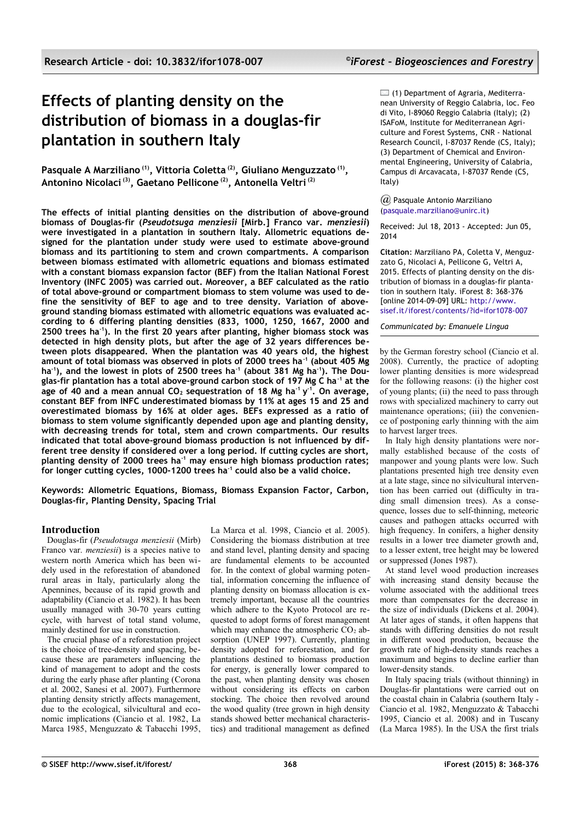# **Effects of planting density on the distribution of biomass in a douglas-fir plantation in southern Italy**

**Pasquale A Marziliano (1), Vittoria Coletta (2), Giuliano Menguzzato (1) , Antonino Nicolaci (3), Gaetano Pellicone (2), Antonella Veltri (2)**

**The effects of initial planting densities on the distribution of above-ground biomass of Douglas-fir (***Pseudotsuga menziesii* **[Mirb.] Franco var.** *menziesii***) were investigated in a plantation in southern Italy. Allometric equations designed for the plantation under study were used to estimate above-ground biomass and its partitioning to stem and crown compartments. A comparison between biomass estimated with allometric equations and biomass estimated with a constant biomass expansion factor (BEF) from the Italian National Forest Inventory (INFC 2005) was carried out. Moreover, a BEF calculated as the ratio of total above-ground or compartment biomass to stem volume was used to define the sensitivity of BEF to age and to tree density. Variation of aboveground standing biomass estimated with allometric equations was evaluated according to 6 differing planting densities (833, 1000, 1250, 1667, 2000 and 2500 trees ha-1). In the first 20 years after planting, higher biomass stock was detected in high density plots, but after the age of 32 years differences between plots disappeared. When the plantation was 40 years old, the highest amount of total biomass was observed in plots of 2000 trees ha-1 (about 405 Mg ha-1), and the lowest in plots of 2500 trees ha-1 (about 381 Mg ha-1). The Douglas-fir plantation has a total above-ground carbon stock of 197 Mg C ha-1 at the age of 40 and a mean annual CO2 sequestration of 18 Mg ha-1 y -1. On average, constant BEF from INFC underestimated biomass by 11% at ages 15 and 25 and overestimated biomass by 16% at older ages. BEFs expressed as a ratio of biomass to stem volume significantly depended upon age and planting density, with decreasing trends for total, stem and crown compartments. Our results indicated that total above-ground biomass production is not influenced by different tree density if considered over a long period. If cutting cycles are short, planting density of 2000 trees ha-1 may ensure high biomass production rates; for longer cutting cycles, 1000-1200 trees ha-1 could also be a valid choice.**

**Keywords: Allometric Equations, Biomass, Biomass Expansion Factor, Carbon, Douglas-fir, Planting Density, Spacing Trial**

# **Introduction**

Douglas-fir (*Pseudotsuga menziesii* (Mirb) Franco var. *menziesii*) is a species native to western north America which has been widely used in the reforestation of abandoned rural areas in Italy, particularly along the Apennines, because of its rapid growth and adaptability (Ciancio et al. 1982). It has been usually managed with 30-70 years cutting cycle, with harvest of total stand volume, mainly destined for use in construction.

The crucial phase of a reforestation project is the choice of tree-density and spacing, because these are parameters influencing the kind of management to adopt and the costs during the early phase after planting (Corona et al. 2002, Sanesi et al. 2007). Furthermore planting density strictly affects management, due to the ecological, silvicultural and economic implications (Ciancio et al. 1982, La Marca 1985, Menguzzato & Tabacchi 1995, La Marca et al. 1998, Ciancio et al. 2005). Considering the biomass distribution at tree and stand level, planting density and spacing are fundamental elements to be accounted for. In the context of global warming potential, information concerning the influence of planting density on biomass allocation is extremely important, because all the countries which adhere to the Kyoto Protocol are requested to adopt forms of forest management which may enhance the atmospheric  $CO<sub>2</sub>$  absorption (UNEP 1997). Currently, planting density adopted for reforestation, and for plantations destined to biomass production for energy, is generally lower compared to the past, when planting density was chosen without considering its effects on carbon stocking. The choice then revolved around the wood quality (tree grown in high density stands showed better mechanical characteristics) and traditional management as defined

 $\Box$  (1) Department of Agraria, Mediterranean University of Reggio Calabria, loc. Feo di Vito, I-89060 Reggio Calabria (Italy); (2) ISAFoM, Institute for Mediterranean Agriculture and Forest Systems, CNR - National Research Council, I-87037 Rende (CS, Italy); (3) Department of Chemical and Environmental Engineering, University of Calabria, Campus di Arcavacata, I-87037 Rende (CS, Italy)

## *@* Pasquale Antonio Marziliano [\(pasquale.marziliano@unirc.it\)](mailto:)

Received: Jul 18, 2013 - Accepted: Jun 05, 2014

**Citation**: Marziliano PA, Coletta V, Menguzzato G, Nicolaci A, Pellicone G, Veltri A, 2015. Effects of planting density on the distribution of biomass in a douglas-fir plantation in southern Italy. iForest 8: 368-376 [online 2014-09-09] URL: [http://www.](http://www.sisef.it/iforest/contents/?id=ifor1078-007)  [sisef.it/iforest/contents/?id=ifor1078-007](http://www.sisef.it/iforest/contents/?id=ifor1078-007)

*Communicated by: Emanuele Lingua*

by the German forestry school (Ciancio et al. 2008). Currently, the practice of adopting lower planting densities is more widespread for the following reasons: (i) the higher cost of young plants; (ii) the need to pass through rows with specialized machinery to carry out maintenance operations; (iii) the convenience of postponing early thinning with the aim to harvest larger trees.

In Italy high density plantations were normally established because of the costs of manpower and young plants were low. Such plantations presented high tree density even at a late stage, since no silvicultural intervention has been carried out (difficulty in trading small dimension trees). As a consequence, losses due to self-thinning, meteoric causes and pathogen attacks occurred with high frequency. In conifers, a higher density results in a lower tree diameter growth and, to a lesser extent, tree height may be lowered or suppressed (Jones 1987).

At stand level wood production increases with increasing stand density because the volume associated with the additional trees more than compensates for the decrease in the size of individuals (Dickens et al. 2004). At later ages of stands, it often happens that stands with differing densities do not result in different wood production, because the growth rate of high-density stands reaches a maximum and begins to decline earlier than lower-density stands.

In Italy spacing trials (without thinning) in Douglas-fir plantations were carried out on the coastal chain in Calabria (southern Italy - Ciancio et al. 1982, Menguzzato & Tabacchi 1995, Ciancio et al. 2008) and in Tuscany (La Marca 1985). In the USA the first trials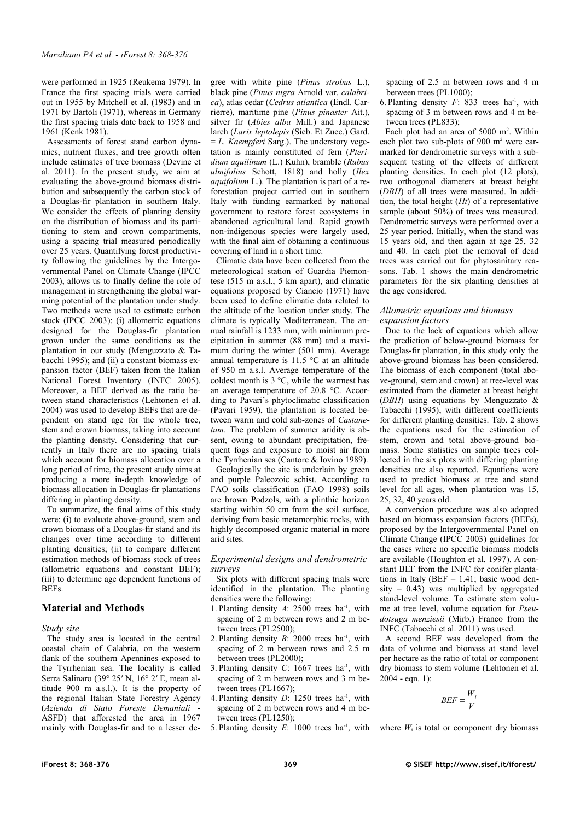were performed in 1925 (Reukema 1979). In France the first spacing trials were carried out in 1955 by Mitchell et al. (1983) and in 1971 by Bartoli (1971), whereas in Germany the first spacing trials date back to 1958 and 1961 (Kenk 1981).

Assessments of forest stand carbon dynamics, nutrient fluxes, and tree growth often include estimates of tree biomass (Devine et al. 2011). In the present study, we aim at evaluating the above-ground biomass distribution and subsequently the carbon stock of a Douglas-fir plantation in southern Italy. We consider the effects of planting density on the distribution of biomass and its partitioning to stem and crown compartments, using a spacing trial measured periodically over 25 years. Quantifying forest productivity following the guidelines by the Intergovernmental Panel on Climate Change (IPCC 2003), allows us to finally define the role of management in strengthening the global warming potential of the plantation under study. Two methods were used to estimate carbon stock (IPCC 2003): (i) allometric equations designed for the Douglas-fir plantation grown under the same conditions as the plantation in our study (Menguzzato & Tabacchi 1995); and (ii) a constant biomass expansion factor (BEF) taken from the Italian National Forest Inventory (INFC 2005). Moreover, a BEF derived as the ratio between stand characteristics (Lehtonen et al. 2004) was used to develop BEFs that are dependent on stand age for the whole tree, stem and crown biomass, taking into account the planting density. Considering that currently in Italy there are no spacing trials which account for biomass allocation over a long period of time, the present study aims at producing a more in-depth knowledge of biomass allocation in Douglas-fir plantations differing in planting density.

To summarize, the final aims of this study were: (i) to evaluate above-ground, stem and crown biomass of a Douglas-fir stand and its changes over time according to different planting densities; (ii) to compare different estimation methods of biomass stock of trees (allometric equations and constant BEF); (iii) to determine age dependent functions of BEFs.

# **Material and Methods**

*Study site*

The study area is located in the central coastal chain of Calabria, on the western flank of the southern Apennines exposed to the Tyrrhenian sea. The locality is called Serra Salinaro (39° 25′ N, 16° 2′ E, mean altitude 900 m a.s.l.). It is the property of the regional Italian State Forestry Agency (*Azienda di Stato Foreste Demaniali* - ASFD) that afforested the area in 1967 mainly with Douglas-fir and to a lesser de-

gree with white pine (*Pinus strobus* L.), black pine (*Pinus nigra* Arnold var. *calabrica*), atlas cedar (*Cedrus atlantica* (Endl. Carrierre), maritime pine (*Pinus pinaster* Ait.), silver fir (*Abies alba* Mill.) and Japanese larch (*Larix leptolepis* (Sieb. Et Zucc.) Gard. = *L. Kaempferi* Sarg.). The understory vegetation is mainly constituted of fern (*Pteridium aquilinum* (L.) Kuhn), bramble (*Rubus ulmifolius* Schott, 1818) and holly (*Ilex aquifolium* L.). The plantation is part of a reforestation project carried out in southern Italy with funding earmarked by national government to restore forest ecosystems in abandoned agricultural land. Rapid growth non-indigenous species were largely used, with the final aim of obtaining a continuous covering of land in a short time.

Climatic data have been collected from the meteorological station of Guardia Piemontese (515 m a.s.l., 5 km apart), and climatic equations proposed by Ciancio (1971) have been used to define climatic data related to the altitude of the location under study. The climate is typically Mediterranean. The annual rainfall is 1233 mm, with minimum precipitation in summer (88 mm) and a maximum during the winter (501 mm). Average annual temperature is 11.5 °C at an altitude of 950 m a.s.l. Average temperature of the coldest month is 3 °C, while the warmest has an average temperature of 20.8 °C. According to Pavari's phytoclimatic classification (Pavari 1959), the plantation is located between warm and cold sub-zones of *Castanetum*. The problem of summer aridity is absent, owing to abundant precipitation, frequent fogs and exposure to moist air from the Tyrrhenian sea (Cantore & Iovino 1989).

Geologically the site is underlain by green and purple Paleozoic schist. According to FAO soils classification (FAO 1998) soils are brown Podzols, with a plinthic horizon starting within 50 cm from the soil surface, deriving from basic metamorphic rocks, with highly decomposed organic material in more arid sites.

## *Experimental designs and dendrometric surveys*

Six plots with different spacing trials were identified in the plantation. The planting densities were the following:

- 1. Planting density  $A: 2500$  trees ha<sup>-1</sup>, with spacing of 2 m between rows and 2 m between trees (PL2500);
- 2. Planting density  $B: 2000$  trees ha<sup>-1</sup>, with spacing of 2 m between rows and 2.5 m between trees (PL2000);
- 3. Planting density *C*: 1667 trees ha-1, with spacing of 2 m between rows and 3 m between trees (PL1667);
- 4. Planting density  $D: 1250$  trees ha<sup>-1</sup>, with spacing of 2 m between rows and 4 m between trees (PL1250);
- 5. Planting density  $E: 1000$  trees ha<sup>-1</sup>, with

spacing of 2.5 m between rows and 4 m between trees (PL1000);

6. Planting density  $F: 833$  trees ha<sup>-1</sup>, with spacing of 3 m between rows and 4 m between trees (PL833);

Each plot had an area of 5000 m<sup>2</sup>. Within each plot two sub-plots of 900 m<sup>2</sup> were earmarked for dendrometric surveys with a subsequent testing of the effects of different planting densities. In each plot (12 plots), two orthogonal diameters at breast height (*DBH*) of all trees were measured. In addition, the total height (*Ht*) of a representative sample (about 50%) of trees was measured. Dendrometric surveys were performed over a 25 year period. Initially, when the stand was 15 years old, and then again at age 25, 32 and 40. In each plot the removal of dead trees was carried out for phytosanitary reasons. [Tab. 1](#page-2-0) shows the main dendrometric parameters for the six planting densities at the age considered.

## *Allometric equations and biomass expansion factors*

Due to the lack of equations which allow the prediction of below-ground biomass for Douglas-fir plantation, in this study only the above-ground biomass has been considered. The biomass of each component (total above-ground, stem and crown) at tree-level was estimated from the diameter at breast height (*DBH*) using equations by Menguzzato & Tabacchi (1995), with different coefficients for different planting densities. [Tab. 2](#page-2-1) shows the equations used for the estimation of stem, crown and total above-ground biomass. Some statistics on sample trees collected in the six plots with differing planting densities are also reported. Equations were used to predict biomass at tree and stand level for all ages, when plantation was 15, 25, 32, 40 years old.

A conversion procedure was also adopted based on biomass expansion factors (BEFs), proposed by the Intergovernmental Panel on Climate Change (IPCC 2003) guidelines for the cases where no specific biomass models are available (Houghton et al. 1997). A constant BEF from the INFC for conifer plantations in Italy (BEF =  $1.41$ ; basic wood density =  $0.43$ ) was multiplied by aggregated stand-level volume. To estimate stem volume at tree level, volume equation for *Pseudotsuga menziesii* (Mirb.) Franco from the INFC (Tabacchi et al. 2011) was used.

A second BEF was developed from the data of volume and biomass at stand level per hectare as the ratio of total or component dry biomass to stem volume (Lehtonen et al.  $2004 - e$  cm. 1):

$$
BEF = \frac{W_i}{V}
$$

where  $W_i$  is total or component dry biomass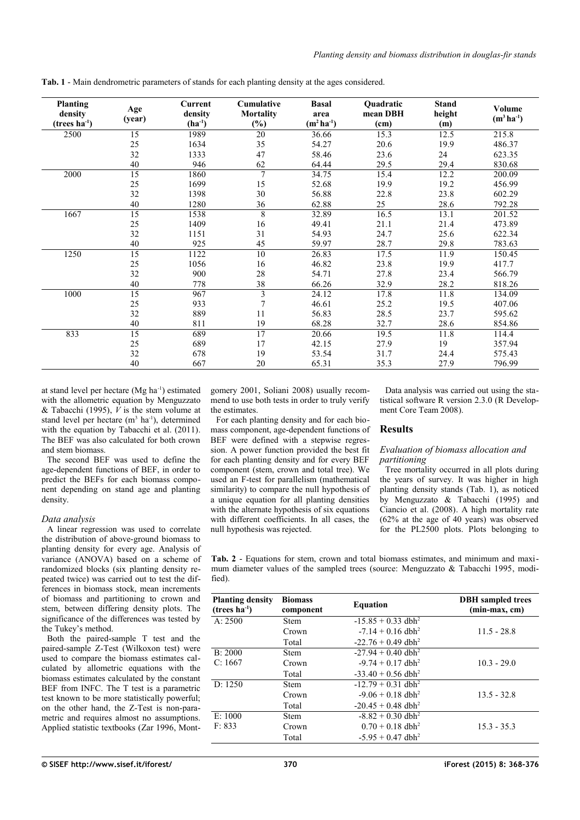| <b>Planting</b><br>density<br>$(trees ha-1)$ | Age<br>(year)   | Current<br>density<br>$(ha^{-1})$ | Cumulative<br><b>Mortality</b><br>$(\%)$ | <b>Basal</b><br>area<br>$(m^2 ha^{-1})$ | Quadratic<br>mean DBH<br>(cm) | <b>Stand</b><br>height<br>(m) | <b>Volume</b><br>$(m^3 \, ha^{-1})$ |
|----------------------------------------------|-----------------|-----------------------------------|------------------------------------------|-----------------------------------------|-------------------------------|-------------------------------|-------------------------------------|
| 2500                                         | 15              | 1989                              | 20                                       | 36.66                                   | 15.3                          | 12.5                          | 215.8                               |
|                                              | 25              | 1634                              | 35                                       | 54.27                                   | 20.6                          | 19.9                          | 486.37                              |
|                                              | 32              | 1333                              | 47                                       | 58.46                                   | 23.6                          | 24                            | 623.35                              |
|                                              | 40              | 946                               | 62                                       | 64.44                                   | 29.5                          | 29.4                          | 830.68                              |
| 2000                                         | 15              | 1860                              | $\overline{7}$                           | 34.75                                   | 15.4                          | 12.2                          | 200.09                              |
|                                              | 25              | 1699                              | 15                                       | 52.68                                   | 19.9                          | 19.2                          | 456.99                              |
|                                              | 32              | 1398                              | 30                                       | 56.88                                   | 22.8                          | 23.8                          | 602.29                              |
|                                              | 40              | 1280                              | 36                                       | 62.88                                   | 25                            | 28.6                          | 792.28                              |
| 1667                                         | 15              | 1538                              | 8                                        | 32.89                                   | 16.5                          | 13.1                          | 201.52                              |
|                                              | 25              | 1409                              | 16                                       | 49.41                                   | 21.1                          | 21.4                          | 473.89                              |
|                                              | 32              | 1151                              | 31                                       | 54.93                                   | 24.7                          | 25.6                          | 622.34                              |
|                                              | 40              | 925                               | 45                                       | 59.97                                   | 28.7                          | 29.8                          | 783.63                              |
| 1250                                         | $\overline{15}$ | 1122                              | 10                                       | 26.83                                   | 17.5                          | 11.9                          | 150.45                              |
|                                              | 25              | 1056                              | 16                                       | 46.82                                   | 23.8                          | 19.9                          | 417.7                               |
|                                              | 32              | 900                               | 28                                       | 54.71                                   | 27.8                          | 23.4                          | 566.79                              |
|                                              | 40              | 778                               | 38                                       | 66.26                                   | 32.9                          | 28.2                          | 818.26                              |
| 1000                                         | 15              | 967                               | 3                                        | 24.12                                   | 17.8                          | 11.8                          | 134.09                              |
|                                              | 25              | 933                               | 7                                        | 46.61                                   | 25.2                          | 19.5                          | 407.06                              |
|                                              | 32              | 889                               | 11                                       | 56.83                                   | 28.5                          | 23.7                          | 595.62                              |
|                                              | 40              | 811                               | 19                                       | 68.28                                   | 32.7                          | 28.6                          | 854.86                              |
| 833                                          | $\overline{15}$ | 689                               | 17                                       | 20.66                                   | 19.5                          | 11.8                          | 114.4                               |
|                                              | 25              | 689                               | 17                                       | 42.15                                   | 27.9                          | 19                            | 357.94                              |
|                                              | 32              | 678                               | 19                                       | 53.54                                   | 31.7                          | 24.4                          | 575.43                              |
|                                              | 40              | 667                               | 20                                       | 65.31                                   | 35.3                          | 27.9                          | 796.99                              |

<span id="page-2-0"></span>**Tab. 1** - Main dendrometric parameters of stands for each planting density at the ages considered.

at stand level per hectare (Mg ha-1) estimated with the allometric equation by Menguzzato & Tabacchi (1995),  $\hat{V}$  is the stem volume at stand level per hectare  $(m^3 \text{ ha}^{-1})$ , determined with the equation by Tabacchi et al. (2011). The BEF was also calculated for both crown and stem biomass.

The second BEF was used to define the age-dependent functions of BEF, in order to predict the BEFs for each biomass component depending on stand age and planting density.

## *Data analysis*

A linear regression was used to correlate the distribution of above-ground biomass to planting density for every age. Analysis of variance (ANOVA) based on a scheme of randomized blocks (six planting density repeated twice) was carried out to test the differences in biomass stock, mean increments of biomass and partitioning to crown and stem, between differing density plots. The significance of the differences was tested by the Tukey's method.

Both the paired-sample T test and the paired-sample Z-Test (Wilkoxon test) were used to compare the biomass estimates calculated by allometric equations with the biomass estimates calculated by the constant BEF from INFC. The T test is a parametric test known to be more statistically powerful; on the other hand, the Z-Test is non-parametric and requires almost no assumptions. Applied statistic textbooks (Zar 1996, Montgomery 2001, Soliani 2008) usually recommend to use both tests in order to truly verify the estimates.

For each planting density and for each biomass component, age-dependent functions of BEF were defined with a stepwise regression. A power function provided the best fit for each planting density and for every BEF component (stem, crown and total tree). We used an F-test for parallelism (mathematical similarity) to compare the null hypothesis of a unique equation for all planting densities with the alternate hypothesis of six equations with different coefficients. In all cases, the null hypothesis was rejected.

Data analysis was carried out using the statistical software R version 2.3.0 (R Development Core Team 2008).

## **Results**

# *Evaluation of biomass allocation and partitioning*

Tree mortality occurred in all plots during the years of survey. It was higher in high planting density stands [\(Tab. 1\)](#page-2-0), as noticed by Menguzzato & Tabacchi (1995) and Ciancio et al. (2008). A high mortality rate (62% at the age of 40 years) was observed for the PL2500 plots. Plots belonging to

<span id="page-2-1"></span>**Tab. 2** - Equations for stem, crown and total biomass estimates, and minimum and maximum diameter values of the sampled trees (source: Menguzzato & Tabacchi 1995, modified).

| <b>Planting density</b><br>$(trees ha-1)$ | <b>Biomass</b><br>component | <b>Equation</b>                  | <b>DBH</b> sampled trees<br>(min-max, cm) |  |  |
|-------------------------------------------|-----------------------------|----------------------------------|-------------------------------------------|--|--|
| A: 2500                                   | <b>Stem</b>                 | $-15.85 + 0.33$ dbh <sup>2</sup> |                                           |  |  |
|                                           | Crown                       | $-7.14 + 0.16$ dbh <sup>2</sup>  | $11.5 - 28.8$                             |  |  |
|                                           | Total                       | $-22.76 + 0.49$ dbh <sup>2</sup> |                                           |  |  |
| B: 2000                                   | <b>Stem</b>                 | $-27.94 + 0.40$ dbh <sup>2</sup> |                                           |  |  |
| C: 1667                                   | Crown                       | $-9.74 + 0.17$ dbh <sup>2</sup>  | $10.3 - 29.0$                             |  |  |
|                                           | Total                       | $-33.40 + 0.56$ dbh <sup>2</sup> |                                           |  |  |
| D: 1250                                   | <b>Stem</b>                 | $-12.79 + 0.31$ dbh <sup>2</sup> |                                           |  |  |
|                                           | Crown                       | $-9.06 + 0.18$ dbh <sup>2</sup>  | $13.5 - 32.8$                             |  |  |
|                                           | Total                       | $-20.45 + 0.48$ dbh <sup>2</sup> |                                           |  |  |
| E: 1000                                   | <b>Stem</b>                 | $-8.82 + 0.30$ dbh <sup>2</sup>  |                                           |  |  |
| F: 833                                    | Crown                       | $0.70 + 0.18$ dbh <sup>2</sup>   | $15.3 - 35.3$                             |  |  |
|                                           | Total                       | $-5.95 + 0.47$ dbh <sup>2</sup>  |                                           |  |  |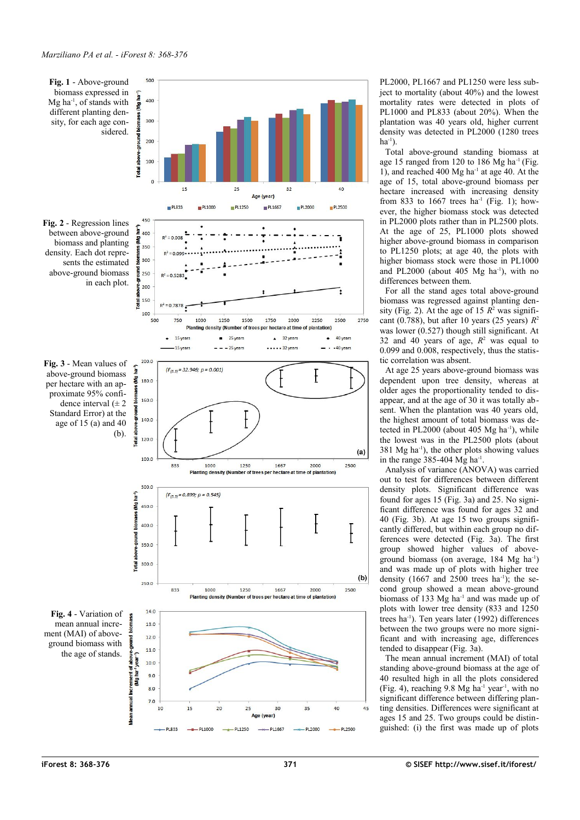<span id="page-3-3"></span><span id="page-3-2"></span><span id="page-3-1"></span>

PL2000, PL1667 and PL1250 were less sub ject to mortality (about 40%) and the lowest mortality rates were detected in plots of PL1000 and PL833 (about 20%). When the plantation was 40 years old, higher current density was detected in PL2000 (1280 trees  $ha^{-1}$ ).

Total above-ground standing biomass at age 15 ranged from 120 to 186 Mg ha $^{-1}$  [\(Fig.](#page-3-3) [1\)](#page-3-3), and reached 400 Mg ha-1 at age 40. At the age of 15, total above-ground biomass per hectare increased with increasing density from 833 to 1667 trees  $ha^{-1}$  [\(Fig. 1\)](#page-3-3); however, the higher biomass stock was detected in PL2000 plots rather than in PL2500 plots. At the age of 25, PL1000 plots showed higher above-ground biomass in comparison to PL1250 plots; at age 40, the plots with higher biomass stock were those in PL1000 and PL2000 (about  $405$  Mg ha<sup>-1</sup>), with no differences between them.

For all the stand ages total above-ground biomass was regressed against planting den - sity [\(Fig. 2\)](#page-3-2). At the age of 15  $R^2$  was significant (0.788), but after 10 years (25 years)  $R^2$ was lower (0.527) though still significant. At 32 and 40 years of age,  $R^2$  was equal to 0.099 and 0.008, respectively, thus the statis tic correlation was absent.

At age 25 years above-ground biomass was dependent upon tree density, whereas at older ages the proportionality tended to dis appear, and at the age of 30 it was totally ab sent. When the plantation was 40 years old, the highest amount of total biomass was de tected in PL2000 (about 405 Mg ha<sup>-1</sup>), while the lowest was in the PL2500 plots (about  $381$  Mg ha<sup>-1</sup>), the other plots showing values in the range  $385-404$  Mg ha<sup>-1</sup>.

Analysis of variance (ANOVA) was carried out to test for differences between different density plots. Significant difference was found for ages 15 [\(Fig. 3a](#page-3-1)) and 25. No signi ficant difference was found for ages 32 and 40 [\(Fig. 3b](#page-3-1)). At age 15 two groups signifi cantly differed, but within each group no differences were detected [\(Fig. 3a](#page-3-1)). The first group showed higher values of aboveground biomass (on average, 184 Mg ha-1) and was made up of plots with higher tree density  $(1667 \text{ and } 2500 \text{ trees } \text{ha}^{-1})$ ; the second group showed a mean above-ground biomass of 133 Mg ha<sup>-1</sup> and was made up of plots with lower tree density (833 and 1250 trees ha-1). Ten years later (1992) differences between the two groups were no more signi ficant and with increasing age, differences tended to disappear [\(Fig. 3a](#page-3-1)).

<span id="page-3-0"></span>The mean annual increment (MAI) of total standing above-ground biomass at the age of 40 resulted high in all the plots considered [\(Fig. 4\)](#page-3-0), reaching  $9.8 \text{ Mg} \text{ ha}^{-1} \text{ year}^{-1}$ , with no significant difference between differing plan ting densities. Differences were significant at ages 15 and 25. Two groups could be distin guished: (i) the first was made up of plots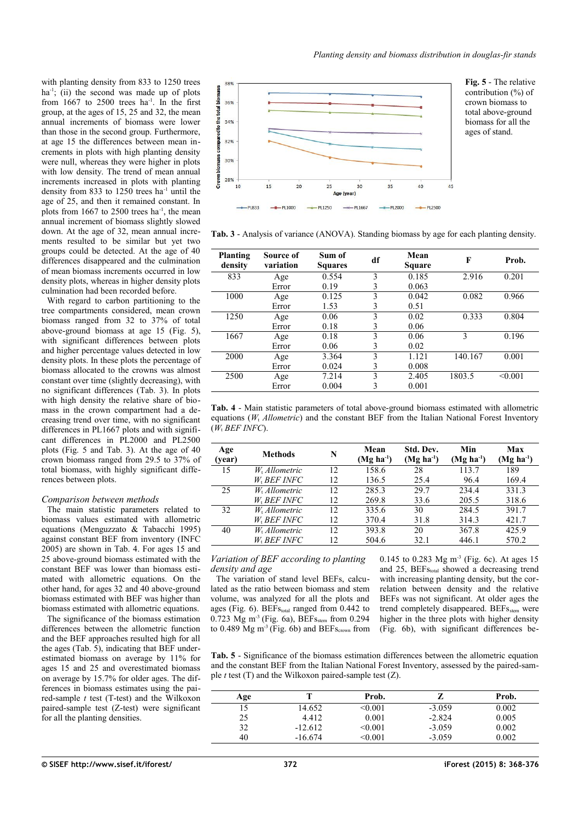with planting density from 833 to 1250 trees ha<sup>-1</sup>; (ii) the second was made up of plots from  $1667$  to  $2500$  trees ha<sup>-1</sup>. In the first group, at the ages of 15, 25 and 32, the mean annual increments of biomass were lower than those in the second group. Furthermore, at age 15 the differences between mean increments in plots with high planting density were null, whereas they were higher in plots with low density. The trend of mean annual increments increased in plots with planting density from 833 to  $1250$  trees ha<sup>-1</sup> until the age of 25, and then it remained constant. In plots from 1667 to 2500 trees ha<sup>-1</sup>, the mean annual increment of biomass slightly slowed down. At the age of 32, mean annual increments resulted to be similar but yet two groups could be detected. At the age of 40 differences disappeared and the culmination of mean biomass increments occurred in low density plots, whereas in higher density plots culmination had been recorded before.

With regard to carbon partitioning to the tree compartments considered, mean crown biomass ranged from 32 to 37% of total above-ground biomass at age 15 [\(Fig. 5\)](#page-4-3), with significant differences between plots and higher percentage values detected in low density plots. In these plots the percentage of biomass allocated to the crowns was almost constant over time (slightly decreasing), with no significant differences [\(Tab. 3\)](#page-4-2). In plots with high density the relative share of biomass in the crown compartment had a decreasing trend over time, with no significant differences in PL1667 plots and with significant differences in PL2000 and PL2500 plots [\(Fig. 5](#page-4-3) and [Tab. 3\)](#page-4-2). At the age of 40 crown biomass ranged from 29.5 to 37% of total biomass, with highly significant differences between plots.

#### *Comparison between methods*

The main statistic parameters related to biomass values estimated with allometric equations (Menguzzato & Tabacchi 1995) against constant BEF from inventory (INFC 2005) are shown in [Tab. 4.](#page-4-1) For ages 15 and 25 above-ground biomass estimated with the constant BEF was lower than biomass estimated with allometric equations. On the other hand, for ages 32 and 40 above-ground biomass estimated with BEF was higher than biomass estimated with allometric equations.

The significance of the biomass estimation differences between the allometric function and the BEF approaches resulted high for all the ages  $(Tab, 5)$ , indicating that BEF underestimated biomass on average by 11% for ages 15 and 25 and overestimated biomass on average by 15.7% for older ages. The differences in biomass estimates using the paired-sample *t* test (T-test) and the Wilkoxon paired-sample test (Z-test) were significant for all the planting densities.



<span id="page-4-3"></span>**Fig. 5** - The relative contribution (%) of crown biomass to total above-ground biomass for all the ages of stand.

<span id="page-4-2"></span>**Tab. 3** - Analysis of variance (ANOVA). Standing biomass by age for each planting density.

| Planting<br>density | Source of<br>variation | Sum of<br><b>Squares</b> | df | Mean<br><b>Square</b> | F             | Prob.   |  |
|---------------------|------------------------|--------------------------|----|-----------------------|---------------|---------|--|
| 833                 | Age                    | 0.554                    | 3  | 0.185                 | 2.916         | 0.201   |  |
|                     | Error                  | 0.19                     | 3  | 0.063                 |               |         |  |
| 1000                | Age                    | 0.125                    | 3  | 0.042                 | 0.082         | 0.966   |  |
|                     | Error                  | 1.53                     | 3  | 0.51                  |               |         |  |
| 1250                | Age                    | 0.06                     | 3  | 0.02                  | 0.333         | 0.804   |  |
|                     | Error                  | 0.18                     | 3  | 0.06                  |               |         |  |
| 1667                | Age                    | 0.18                     | 3  | 0.06                  | $\mathcal{E}$ | 0.196   |  |
|                     | Error                  | 0.06                     | 3  | 0.02                  |               |         |  |
| 2000                | Age                    | 3.364                    | 3  | 1.121                 | 140.167       | 0.001   |  |
|                     | Error                  | 0.024                    | 3  | 0.008                 |               |         |  |
| 2500                | Age                    | 7.214                    | 3  | 2.405                 | 1803.5        | < 0.001 |  |
|                     | Error                  | 0.004                    | 3  | 0.001                 |               |         |  |
|                     |                        |                          |    |                       |               |         |  |

<span id="page-4-1"></span>**Tab. 4** - Main statistic parameters of total above-ground biomass estimated with allometric equations  $(W_t$  *Allometric*) and the constant BEF from the Italian National Forest Inventory (*W*t *BEF INFC*).

| Age<br>(year) | <b>Methods</b>            | N  | Mean<br>$(Mg ha-1)$ | Std. Dev.<br>$(Mg ha-1)$ | Min<br>$(Mg ha-1)$ | Max<br>$(Mg ha-1)$ |
|---------------|---------------------------|----|---------------------|--------------------------|--------------------|--------------------|
| 15            | $W_1$ Allometric          | 12 | 158.6               | 28                       | 113.7              | 189                |
|               | W <sub>1</sub> BEF INFC   | 12 | 136.5               | 25.4                     | 96.4               | 169.4              |
| 25            | W <sub>1</sub> Allometric | 12 | 285.3               | 29.7                     | 234.4              | 331.3              |
|               | W <sub>1</sub> BEF INFC   | 12 | 269.8               | 33.6                     | 205.5              | 318.6              |
| 32            | W <sub>1</sub> Allometric | 12 | 335.6               | 30                       | 284.5              | 391.7              |
|               | W <sub>1</sub> BEF INFC   | 12 | 370.4               | 31.8                     | 314.3              | 421.7              |
| 40            | W <sub>1</sub> Allometric | 12 | 393.8               | 20                       | 367.8              | 425.9              |
|               | <i>W</i> , BEF INFC       | 12 | 504.6               | 32.1                     | 446.1              | 570.2              |

## *Variation of BEF according to planting density and age*

The variation of stand level BEFs, calculated as the ratio between biomass and stem volume, was analyzed for all the plots and ages [\(Fig. 6\)](#page-5-0).  $BEFs_{total}$  ranged from 0.442 to  $0.723$  Mg m<sup>-3</sup> [\(Fig. 6a](#page-5-0)), BEF<sub>Sstem</sub> from 0.294 to 0.489 Mg  $m^{-3}$  [\(Fig. 6b](#page-5-0)) and BEFs<sub>crown</sub> from 0.145 to 0.283 Mg m-3 [\(Fig. 6c](#page-5-0)). At ages 15 and 25, BEF<sub>Stotal</sub> showed a decreasing trend with increasing planting density, but the correlation between density and the relative BEFs was not significant. At older ages the trend completely disappeared. BEFs<sub>stem</sub> were higher in the three plots with higher density [\(Fig. 6b](#page-5-0)), with significant differences be-

<span id="page-4-0"></span>**Tab. 5** - Significance of the biomass estimation differences between the allometric equation and the constant BEF from the Italian National Forest Inventory, assessed by the paired-sample *t* test (T) and the Wilkoxon paired-sample test (Z).

| Age |           | Prob.   |          | Prob. |
|-----|-----------|---------|----------|-------|
|     | 14.652    | < 0.001 | $-3.059$ | 0.002 |
| 25  | 4.412     | 0.001   | $-2.824$ | 0.005 |
| 32  | $-12.612$ | < 0.001 | $-3.059$ | 0.002 |
| 40  | $-16.674$ | < 0.001 | $-3.059$ | 0.002 |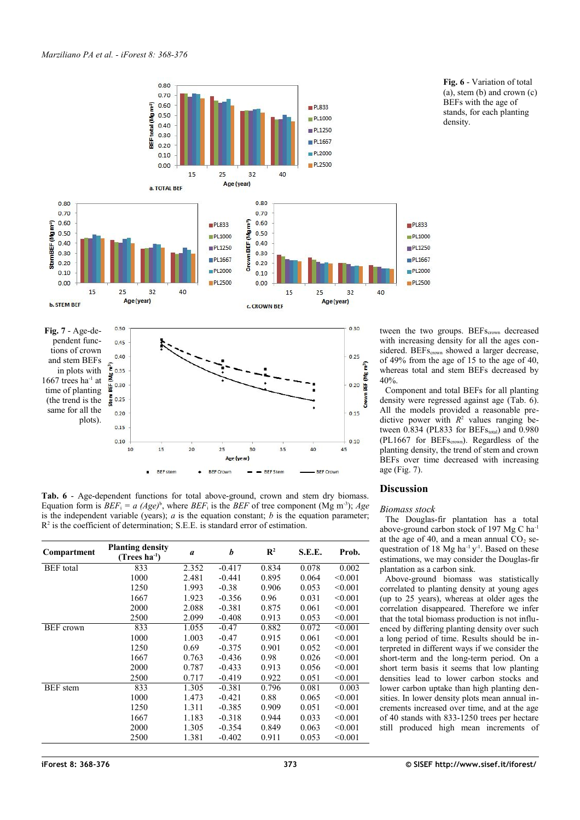

<span id="page-5-2"></span><span id="page-5-1"></span>**Tab. 6** - Age-dependent functions for total above-ground, crown and stem dry biomass. Equation form is  $BEF_i = a (Age)^b$ , where  $BEF_i$  is the BEF of tree component (Mg m<sup>-3</sup>); *Age* is the independent variable (years); *a* is the equation constant; *b* is the equation parameter;  $R<sup>2</sup>$  is the coefficient of determination; S.E.E. is standard error of estimation.

| Compartment      | <b>Planting density</b><br>$(Trees ha-1)$ | $\boldsymbol{a}$ | b        | $\mathbf{R}^2$ | S.E.E. | Prob.   |
|------------------|-------------------------------------------|------------------|----------|----------------|--------|---------|
| <b>BEF</b> total | 833                                       | 2.352            | $-0.417$ | 0.834          | 0.078  | 0.002   |
|                  | 1000                                      | 2.481            | $-0.441$ | 0.895          | 0.064  | < 0.001 |
|                  | 1250                                      | 1.993            | $-0.38$  | 0.906          | 0.053  | < 0.001 |
|                  | 1667                                      | 1.923            | $-0.356$ | 0.96           | 0.031  | < 0.001 |
|                  | 2000                                      | 2.088            | $-0.381$ | 0.875          | 0.061  | < 0.001 |
|                  | 2500                                      | 2.099            | $-0.408$ | 0.913          | 0.053  | < 0.001 |
| <b>BEF</b> crown | 833                                       | 1.055            | $-0.47$  | 0.882          | 0.072  | < 0.001 |
|                  | 1000                                      | 1.003            | $-0.47$  | 0.915          | 0.061  | < 0.001 |
|                  | 1250                                      | 0.69             | $-0.375$ | 0.901          | 0.052  | < 0.001 |
|                  | 1667                                      | 0.763            | $-0.436$ | 0.98           | 0.026  | < 0.001 |
|                  | 2000                                      | 0.787            | $-0.433$ | 0.913          | 0.056  | < 0.001 |
|                  | 2500                                      | 0.717            | $-0.419$ | 0.922          | 0.051  | < 0.001 |
| <b>BEF</b> stem  | 833                                       | 1.305            | $-0.381$ | 0.796          | 0.081  | 0.003   |
|                  | 1000                                      | 1.473            | $-0.421$ | 0.88           | 0.065  | < 0.001 |
|                  | 1250                                      | 1.311            | $-0.385$ | 0.909          | 0.051  | < 0.001 |
|                  | 1667                                      | 1.183            | $-0.318$ | 0.944          | 0.033  | < 0.001 |
|                  | 2000                                      | 1.305            | $-0.354$ | 0.849          | 0.063  | < 0.001 |
|                  | 2500                                      | 1.381            | $-0.402$ | 0.911          | 0.053  | < 0.001 |

<span id="page-5-0"></span>**Fig. 6** - Variation of total  $(a)$ , stem  $(b)$  and crown  $(c)$ BEFs with the age of stands, for each planting density.

tween the two groups. BEF<sub>Scrown</sub> decreased with increasing density for all the ages considered. BEFs<sub>crown</sub> showed a larger decrease, of 49% from the age of 15 to the age of 40, whereas total and stem BEFs decreased by

Component and total BEFs for all planting density were regressed against age [\(Tab. 6\)](#page-5-2). All the models provided a reasonable predictive power with  $R^2$  values ranging between  $0.834$  (PL833 for BEFs<sub>total</sub>) and  $0.980$ (PL1667 for  $BEF_{S_{\text{crown}}}$ ). Regardless of the planting density, the trend of stem and crown BEFs over time decreased with increasing

# **Discussion**

# *Biomass stock*

The Douglas-fir plantation has a total above-ground carbon stock of 197 Mg C ha-1 at the age of 40, and a mean annual  $CO<sub>2</sub>$  sequestration of 18 Mg ha<sup>-1</sup>  $y$ <sup>-1</sup>. Based on these estimations, we may consider the Douglas-fir plantation as a carbon sink.

Above-ground biomass was statistically correlated to planting density at young ages (up to 25 years), whereas at older ages the correlation disappeared. Therefore we infer that the total biomass production is not influenced by differing planting density over such a long period of time. Results should be interpreted in different ways if we consider the short-term and the long-term period. On a short term basis it seems that low planting densities lead to lower carbon stocks and lower carbon uptake than high planting densities. In lower density plots mean annual increments increased over time, and at the age of 40 stands with 833-1250 trees per hectare still produced high mean increments of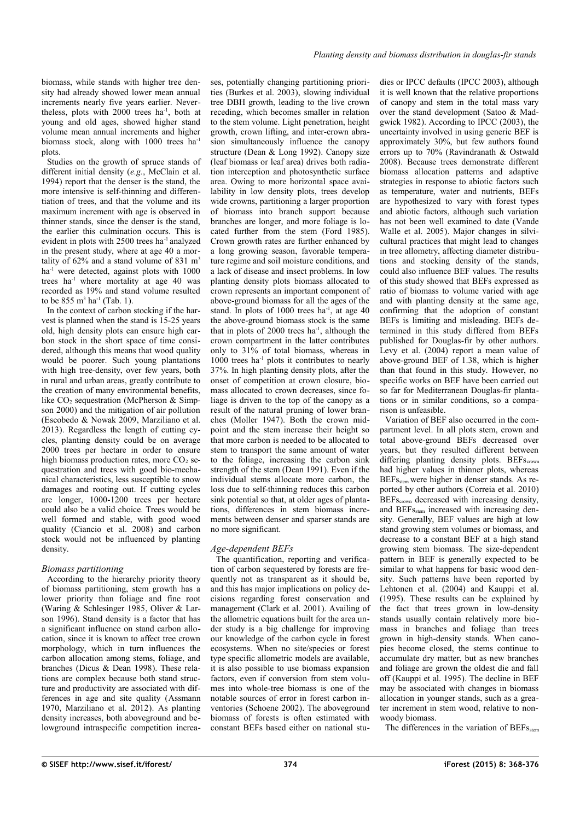biomass, while stands with higher tree density had already showed lower mean annual increments nearly five years earlier. Nevertheless, plots with 2000 trees ha-1, both at young and old ages, showed higher stand volume mean annual increments and higher biomass stock, along with 1000 trees ha<sup>-1</sup> plots.

Studies on the growth of spruce stands of different initial density (*e.g.*, McClain et al. 1994) report that the denser is the stand, the more intensive is self-thinning and differentiation of trees, and that the volume and its maximum increment with age is observed in thinner stands, since the denser is the stand, the earlier this culmination occurs. This is evident in plots with 2500 trees ha-1 analyzed in the present study, where at age 40 a mortality of  $62\%$  and a stand volume of 831 m<sup>3</sup> ha<sup>-1</sup> were detected, against plots with 1000 trees ha<sup>-1</sup> where mortality at age 40 was recorded as 19% and stand volume resulted to be  $855 \text{ m}^3 \text{ ha}^{-1}$  [\(Tab. 1\)](#page-2-0).

In the context of carbon stocking if the harvest is planned when the stand is 15-25 years old, high density plots can ensure high carbon stock in the short space of time considered, although this means that wood quality would be poorer. Such young plantations with high tree-density, over few years, both in rural and urban areas, greatly contribute to the creation of many environmental benefits, like  $CO<sub>2</sub>$  sequestration (McPherson & Simpson 2000) and the mitigation of air pollution (Escobedo & Nowak 2009, Marziliano et al. 2013). Regardless the length of cutting cycles, planting density could be on average 2000 trees per hectare in order to ensure high biomass production rates, more  $CO<sub>2</sub>$  sequestration and trees with good bio-mechanical characteristics, less susceptible to snow damages and rooting out. If cutting cycles are longer, 1000-1200 trees per hectare could also be a valid choice. Trees would be well formed and stable, with good wood quality (Ciancio et al. 2008) and carbon stock would not be influenced by planting density.

# *Biomass partitioning*

According to the hierarchy priority theory of biomass partitioning, stem growth has a lower priority than foliage and fine root (Waring & Schlesinger 1985, Oliver & Larson 1996). Stand density is a factor that has a significant influence on stand carbon allocation, since it is known to affect tree crown morphology, which in turn influences the carbon allocation among stems, foliage, and branches (Dicus & Dean 1998). These relations are complex because both stand structure and productivity are associated with differences in age and site quality (Assmann 1970, Marziliano et al. 2012). As planting density increases, both aboveground and belowground intraspecific competition increases, potentially changing partitioning priorities (Burkes et al. 2003), slowing individual tree DBH growth, leading to the live crown receding, which becomes smaller in relation to the stem volume. Light penetration, height growth, crown lifting, and inter-crown abrasion simultaneously influence the canopy structure (Dean & Long 1992). Canopy size (leaf biomass or leaf area) drives both radiation interception and photosynthetic surface area. Owing to more horizontal space availability in low density plots, trees develop wide crowns, partitioning a larger proportion of biomass into branch support because branches are longer, and more foliage is located further from the stem (Ford 1985). Crown growth rates are further enhanced by a long growing season, favorable temperature regime and soil moisture conditions, and a lack of disease and insect problems. In low planting density plots biomass allocated to crown represents an important component of above-ground biomass for all the ages of the stand. In plots of  $1000$  trees ha<sup>-1</sup>, at age  $40$ the above-ground biomass stock is the same that in plots of  $2000$  trees ha<sup>-1</sup>, although the crown compartment in the latter contributes only to 31% of total biomass, whereas in  $1000$  trees ha<sup>-1</sup> plots it contributes to nearly 37%. In high planting density plots, after the onset of competition at crown closure, biomass allocated to crown decreases, since foliage is driven to the top of the canopy as a result of the natural pruning of lower branches (Moller 1947). Both the crown midpoint and the stem increase their height so that more carbon is needed to be allocated to stem to transport the same amount of water to the foliage, increasing the carbon sink strength of the stem (Dean 1991). Even if the individual stems allocate more carbon, the loss due to self-thinning reduces this carbon sink potential so that, at older ages of plantations, differences in stem biomass increments between denser and sparser stands are no more significant.

# *Age-dependent BEFs*

The quantification, reporting and verification of carbon sequestered by forests are frequently not as transparent as it should be, and this has major implications on policy decisions regarding forest conservation and management (Clark et al. 2001). Availing of the allometric equations built for the area under study is a big challenge for improving our knowledge of the carbon cycle in forest ecosystems. When no site/species or forest type specific allometric models are available, it is also possible to use biomass expansion factors, even if conversion from stem volumes into whole-tree biomass is one of the notable sources of error in forest carbon inventories (Schoene 2002). The aboveground biomass of forests is often estimated with constant BEFs based either on national studies or IPCC defaults (IPCC 2003), although it is well known that the relative proportions of canopy and stem in the total mass vary over the stand development (Satoo & Madgwick 1982). According to IPCC (2003), the uncertainty involved in using generic BEF is approximately 30%, but few authors found errors up to 70% (Ravindranath & Ostwald 2008). Because trees demonstrate different biomass allocation patterns and adaptive strategies in response to abiotic factors such as temperature, water and nutrients, BEFs are hypothesized to vary with forest types and abiotic factors, although such variation has not been well examined to date (Vande Walle et al. 2005). Major changes in silvicultural practices that might lead to changes in tree allometry, affecting diameter distributions and stocking density of the stands, could also influence BEF values. The results of this study showed that BEFs expressed as ratio of biomass to volume varied with age and with planting density at the same age, confirming that the adoption of constant BEFs is limiting and misleading. BEFs determined in this study differed from BEFs published for Douglas-fir by other authors. Levy et al. (2004) report a mean value of above-ground BEF of 1.38, which is higher than that found in this study. However, no specific works on BEF have been carried out so far for Mediterranean Douglas-fir plantations or in similar conditions, so a comparison is unfeasible.

Variation of BEF also occurred in the compartment level. In all plots stem, crown and total above-ground BEFs decreased over years, but they resulted different between differing planting density plots. BEFscrown had higher values in thinner plots, whereas BEFsstem were higher in denser stands. As reported by other authors (Correia et al. 2010) BEF<sub>Scrown</sub> decreased with increasing density, and BEFs<sub>stem</sub> increased with increasing density. Generally, BEF values are high at low stand growing stem volumes or biomass, and decrease to a constant BEF at a high stand growing stem biomass. The size-dependent pattern in BEF is generally expected to be similar to what happens for basic wood density. Such patterns have been reported by Lehtonen et al. (2004) and Kauppi et al. (1995). These results can be explained by the fact that trees grown in low-density stands usually contain relatively more biomass in branches and foliage than trees grown in high-density stands. When canopies become closed, the stems continue to accumulate dry matter, but as new branches and foliage are grown the oldest die and fall off (Kauppi et al. 1995). The decline in BEF may be associated with changes in biomass allocation in younger stands, such as a greater increment in stem wood, relative to nonwoody biomass.

The differences in the variation of BEFs<sub>stem</sub>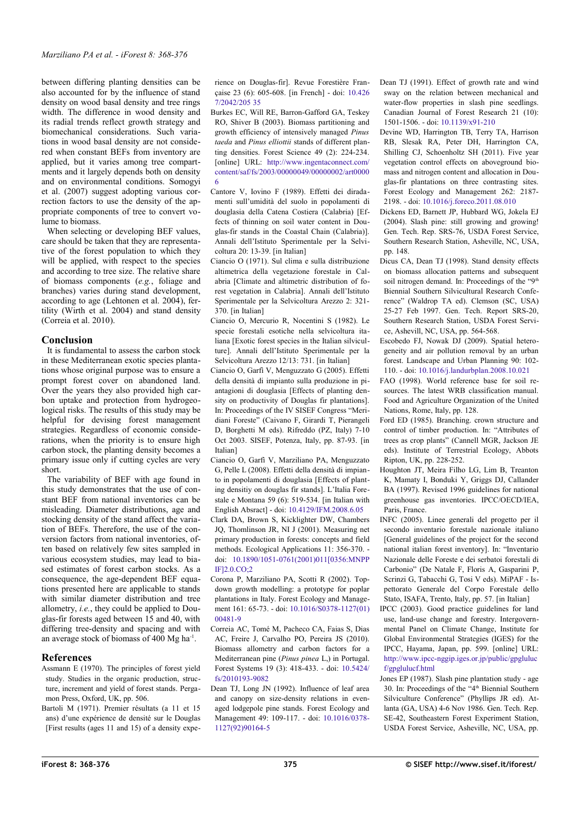between differing planting densities can be also accounted for by the influence of stand density on wood basal density and tree rings width. The difference in wood density and its radial trends reflect growth strategy and biomechanical considerations. Such variations in wood basal density are not considered when constant BEFs from inventory are applied, but it varies among tree compartments and it largely depends both on density and on environmental conditions. Somogyi et al. (2007) suggest adopting various correction factors to use the density of the appropriate components of tree to convert volume to biomass.

When selecting or developing BEF values, care should be taken that they are representative of the forest population to which they will be applied, with respect to the species and according to tree size. The relative share of biomass components (*e.g.*, foliage and branches) varies during stand development, according to age (Lehtonen et al.  $2004$ ), fertility (Wirth et al. 2004) and stand density (Correia et al. 2010).

# **Conclusion**

It is fundamental to assess the carbon stock in these Mediterranean exotic species plantations whose original purpose was to ensure a prompt forest cover on abandoned land. Over the years they also provided high carbon uptake and protection from hydrogeological risks. The results of this study may be helpful for devising forest management strategies. Regardless of economic considerations, when the priority is to ensure high carbon stock, the planting density becomes a primary issue only if cutting cycles are very short.

The variability of BEF with age found in this study demonstrates that the use of constant BEF from national inventories can be misleading. Diameter distributions, age and stocking density of the stand affect the variation of BEFs. Therefore, the use of the conversion factors from national inventories, often based on relatively few sites sampled in various ecosystem studies, may lead to biased estimates of forest carbon stocks. As a consequence, the age-dependent BEF equations presented here are applicable to stands with similar diameter distribution and tree allometry, *i.e.*, they could be applied to Douglas-fir forests aged between 15 and 40, with differing tree-density and spacing and with an average stock of biomass of 400 Mg ha<sup>-1</sup>.

# **References**

- Assmann E (1970). The principles of forest yield study. Studies in the organic production, structure, increment and yield of forest stands. Pergamon Press, Oxford, UK, pp. 506.
- Bartoli M (1971). Premier résultats (a 11 et 15 ans) d'une expérience de densité sur le Douglas [First results (ages 11 and 15) of a density expe-

rience on Douglas-fir]. Revue Forestière Française 23 (6): 605-608. [in French] - doi: [10.426](http://dx.doi.org/10.4267/2042/20535) [7/2042/205 35](http://dx.doi.org/10.4267/2042/20535)

- Burkes EC, Will RE, Barron-Gafford GA, Teskey RO, Shiver B (2003). Biomass partitioning and growth efficiency of intensively managed *Pinus taeda* and *Pinus elliottii* stands of different planting densities. Forest Science 49 (2): 224-234. [online] URL: [http://www.ingentaconnect.com/](http://www.ingentaconnect.com/content/saf/fs/2003/00000049/00000002/art00006) [content/saf/fs/2003/00000049/00000002/art0000](http://www.ingentaconnect.com/content/saf/fs/2003/00000049/00000002/art00006) [6](http://www.ingentaconnect.com/content/saf/fs/2003/00000049/00000002/art00006)
- Cantore V, Iovino F (1989). Effetti dei diradamenti sull'umidità del suolo in popolamenti di douglasia della Catena Costiera (Calabria) [Effects of thinning on soil water content in Douglas-fir stands in the Coastal Chain (Calabria)]. Annali dell'Istituto Sperimentale per la Selvicoltura 20: 13-39. [in Italian]
- Ciancio O (1971). Sul clima e sulla distribuzione altimetrica della vegetazione forestale in Calabria [Climate and altimetric distribution of forest vegetation in Calabria]. Annali dell'Istituto Sperimentale per la Selvicoltura Arezzo 2: 321- 370. [in Italian]
- Ciancio O, Mercurio R, Nocentini S (1982). Le specie forestali esotiche nella selvicoltura italiana [Exotic forest species in the Italian silviculture]. Annali dell'Istituto Sperimentale per la Selvicoltura Arezzo 12/13: 731. [in Italian]
- Ciancio O, Garfì V, Menguzzato G (2005). Effetti della densità di impianto sulla produzione in piantagioni di douglasia [Effects of planting density on productivity of Douglas fir plantations]. In: Proceedings of the IV SISEF Congress "Meridiani Foreste" (Caivano F, Girardi T, Pierangeli D, Borghetti M eds). Rifreddo (PZ, Italy) 7-10 Oct 2003. SISEF, Potenza, Italy, pp. 87-93. [in Italian]
- Ciancio O, Garfì V, Marziliano PA, Menguzzato G, Pelle L (2008). Effetti della densità di impianto in popolamenti di douglasia [Effects of planting densitiy on douglas fir stands]. L'Italia Forestale e Montana 59 (6): 519-534. [in Italian with English Absract] - doi: [10.4129/IFM.2008.6.05](http://dx.doi.org/10.4129/IFM.2008.6.05)
- Clark DA, Brown S, Kicklighter DW, Chambers JQ, Thomlinson JR, NI J (2001). Measuring net primary production in forests: concepts and field methods. Ecological Applications 11: 356-370. doi: [10.1890/1051-0761\(2001\)011\[0356:MNPP](http://dx.doi.org/10.1890/1051-0761(2001)011%5B0356:MNPPIF%5D2.0.CO;2) [IF\]2.0.CO;2](http://dx.doi.org/10.1890/1051-0761(2001)011%5B0356:MNPPIF%5D2.0.CO;2)
- Corona P, Marziliano PA, Scotti R (2002). Topdown growth modelling: a prototype for poplar plantations in Italy. Forest Ecology and Management 161: 65-73. - doi: [10.1016/S0378-1127\(01\)](http://dx.doi.org/10.1016/S0378-1127(01)00481-9) [00481-9](http://dx.doi.org/10.1016/S0378-1127(01)00481-9)
- Correia AC, Tomé M, Pacheco CA, Faias S, Dias AC, Freire J, Carvalho PO, Pereira JS (2010). Biomass allometry and carbon factors for a Mediterranean pine (*Pinus pinea* L,) in Portugal. Forest Systems 19 (3): 418-433. - doi: [10.5424/](http://dx.doi.org/10.5424/fs/2010193-9082) [fs/2010193-9082](http://dx.doi.org/10.5424/fs/2010193-9082)
- Dean TJ, Long JN (1992). Influence of leaf area and canopy on size-density relations in evenaged lodgepole pine stands. Forest Ecology and Management 49: 109-117. - doi: [10.1016/0378-](http://dx.doi.org/10.1016/0378-1127(92)90164-5) [1127\(92\)90164-5](http://dx.doi.org/10.1016/0378-1127(92)90164-5)

Dean TJ (1991). Effect of growth rate and wind sway on the relation between mechanical and water-flow properties in slash pine seedlings. Canadian Journal of Forest Research 21 (10): 1501-1506. - doi: [10.1139/x91-210](http://dx.doi.org/10.1139/x91-210)

- Devine WD, Harrington TB, Terry TA, Harrison RB, Slesak RA, Peter DH, Harrington CA, Shilling CJ, Schoenholtz SH (2011). Five year vegetation control effects on aboveground biomass and nitrogen content and allocation in Douglas-fir plantations on three contrasting sites. Forest Ecology and Management 262: 2187- 2198. - doi: [10.1016/j.foreco.2011.08.010](http://dx.doi.org/10.1016/j.foreco.2011.08.010)
- Dickens ED, Barnett JP, Hubbard WG, Jokela EJ (2004). Slash pine: still growing and growing! Gen. Tech. Rep. SRS-76, USDA Forest Service, Southern Research Station, Asheville, NC, USA, pp. 148.
- Dicus CA, Dean TJ (1998). Stand density effects on biomass allocation patterns and subsequent soil nitrogen demand. In: Proceedings of the "9<sup>th</sup> Biennial Southern Silvicultural Research Conference" (Waldrop TA ed). Clemson (SC, USA) 25-27 Feb 1997. Gen. Tech. Report SRS-20, Southern Research Station, USDA Forest Service, Ashevill, NC, USA, pp. 564-568.
- Escobedo FJ, Nowak DJ (2009). Spatial heterogeneity and air pollution removal by an urban forest. Landscape and Urban Planning 90: 102- 110. - doi: [10.1016/j.landurbplan.2008.10.021](http://dx.doi.org/10.1016/j.landurbplan.2008.10.021)
- FAO (1998). World reference base for soil resources. The latest WRB classification manual. Food and Agriculture Organization of the United Nations, Rome, Italy, pp. 128.
- Ford ED (1985). Branching. crown structure and control of timber production. In: "Attributes of trees as crop plants" (Cannell MGR, Jackson JE eds). Institute of Terrestrial Ecology, Abbots Ripton, UK, pp. 228-252.
- Houghton JT, Meira Filho LG, Lim B, Treanton K, Mamaty I, Bonduki Y, Griggs DJ, Callander BA (1997). Revised 1996 guidelines for national greenhouse gas inventories. IPCC/OECD/IEA, Paris, France.
- INFC (2005). Linee generali del progetto per il secondo inventario forestale nazionale italiano [General guidelines of the project for the second national italian forest inventory]. In: "Inventario Nazionale delle Foreste e dei serbatoi forestali di Carbonio" (De Natale F, Floris A, Gasparini P, Scrinzi G, Tabacchi G, Tosi V eds). MiPAF - Ispettorato Generale del Corpo Forestale dello Stato, ISAFA, Trento, Italy, pp. 57. [in Italian]
- IPCC (2003). Good practice guidelines for land use, land-use change and forestry. Intergovernmental Panel on Climate Change, Institute for Global Environmental Strategies (IGES) for the IPCC, Hayama, Japan, pp. 599. [online] URL: [http://www.ipcc-nggip.iges.or.jp/public/gpgluluc](http://www.ipcc-nggip.iges.or.jp/public/gpglulucf/gpglulucf.html) [f/gpglulucf.html](http://www.ipcc-nggip.iges.or.jp/public/gpglulucf/gpglulucf.html)
- Jones EP (1987). Slash pine plantation study age 30. In: Proceedings of the "4th Biennial Southern Silviculture Conference" (Phyllips JR ed). Atlanta (GA, USA) 4-6 Nov 1986. Gen. Tech. Rep. SE-42, Southeastern Forest Experiment Station, USDA Forest Service, Asheville, NC, USA, pp.